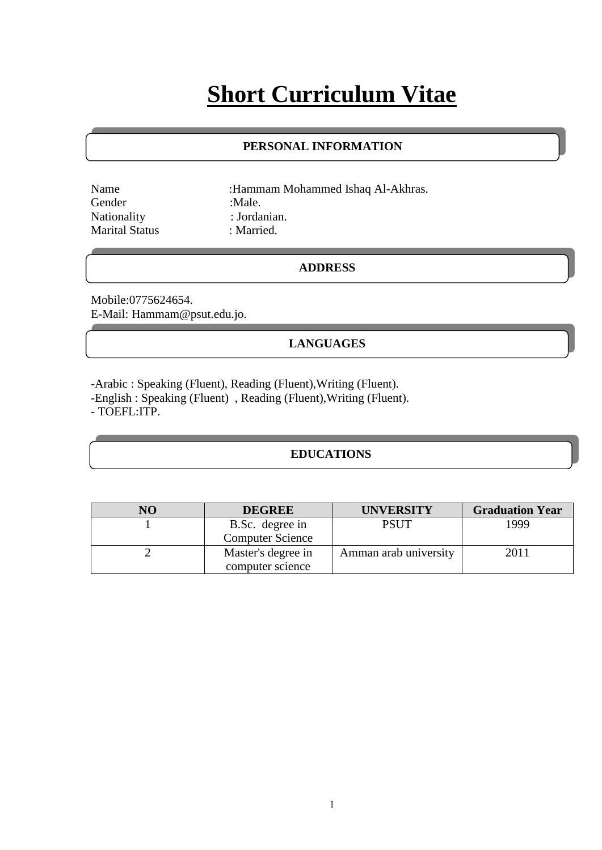# **Short Curriculum Vitae**

### **PERSONAL INFORMATION**

Name :Hammam Mohammed Ishaq Al-Akhras. Gender :Male. Nationality : Jordanian. Marital Status : Married.

### **ADDRESS**

Mobile:0775624654. E-Mail: Hammam@psut.edu.jo.

# **LANGUAGES**

-Arabic : Speaking (Fluent), Reading (Fluent),Writing (Fluent). -English : Speaking (Fluent) , Reading (Fluent),Writing (Fluent). - TOEFL:ITP.

# **EDUCATIONS**

| NO | <b>DEGREE</b>           | <b>UNVERSITY</b>      | <b>Graduation Year</b> |
|----|-------------------------|-----------------------|------------------------|
|    | B.Sc. degree in         | <b>PSUT</b>           | 1999                   |
|    | <b>Computer Science</b> |                       |                        |
|    | Master's degree in      | Amman arab university | 2011                   |
|    | computer science        |                       |                        |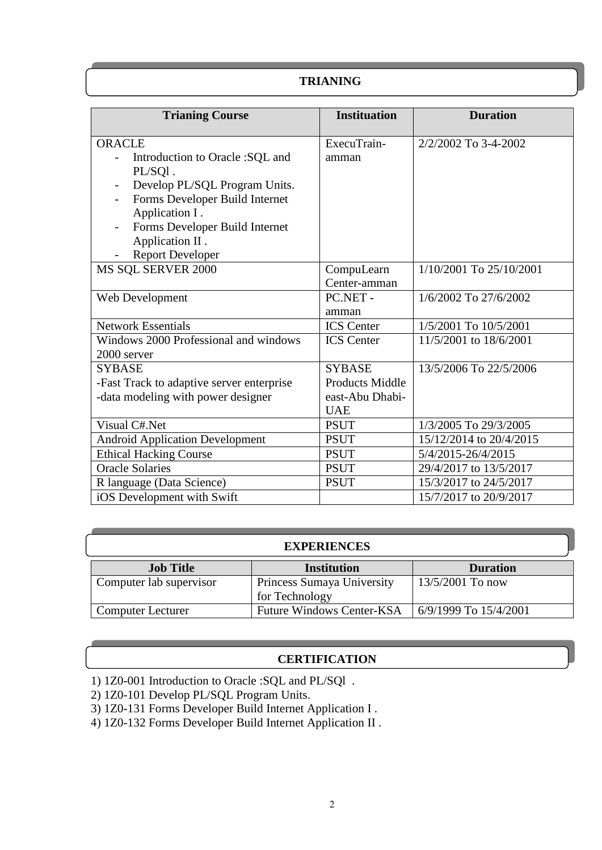## **TRIANING**

| <b>Trianing Course</b>                                                                                                                                                                                                           | <b>Instituation</b>        | <b>Duration</b>         |
|----------------------------------------------------------------------------------------------------------------------------------------------------------------------------------------------------------------------------------|----------------------------|-------------------------|
| <b>ORACLE</b><br>Introduction to Oracle :SQL and<br>PL/SQ1.<br>Develop PL/SQL Program Units.<br>Forms Developer Build Internet<br>Application I.<br>Forms Developer Build Internet<br>Application II.<br><b>Report Developer</b> | ExecuTrain-<br>amman       | 2/2/2002 To 3-4-2002    |
| MS SQL SERVER 2000                                                                                                                                                                                                               | CompuLearn<br>Center-amman | 1/10/2001 To 25/10/2001 |
| Web Development                                                                                                                                                                                                                  | PC.NET -<br>amman          | 1/6/2002 To 27/6/2002   |
| <b>Network Essentials</b>                                                                                                                                                                                                        | <b>ICS</b> Center          | 1/5/2001 To 10/5/2001   |
| Windows 2000 Professional and windows<br>2000 server                                                                                                                                                                             | <b>ICS</b> Center          | 11/5/2001 to 18/6/2001  |
| <b>SYBASE</b>                                                                                                                                                                                                                    | <b>SYBASE</b>              | 13/5/2006 To 22/5/2006  |
| -Fast Track to adaptive server enterprise                                                                                                                                                                                        | <b>Products Middle</b>     |                         |
| -data modeling with power designer                                                                                                                                                                                               | east-Abu Dhabi-            |                         |
|                                                                                                                                                                                                                                  | <b>UAE</b>                 |                         |
| Visual C#.Net                                                                                                                                                                                                                    | <b>PSUT</b>                | 1/3/2005 To 29/3/2005   |
| <b>Android Application Development</b>                                                                                                                                                                                           | <b>PSUT</b>                | 15/12/2014 to 20/4/2015 |
| <b>Ethical Hacking Course</b>                                                                                                                                                                                                    | <b>PSUT</b>                | 5/4/2015-26/4/2015      |
| <b>Oracle Solaries</b>                                                                                                                                                                                                           | <b>PSUT</b>                | 29/4/2017 to 13/5/2017  |
| R language (Data Science)                                                                                                                                                                                                        | <b>PSUT</b>                | 15/3/2017 to 24/5/2017  |
| iOS Development with Swift                                                                                                                                                                                                       |                            | 15/7/2017 to 20/9/2017  |

## **EXPERIENCES**

| <b>Job Title</b>         | Institution                      | <b>Duration</b>       |
|--------------------------|----------------------------------|-----------------------|
| Computer lab supervisor  | Princess Sumaya University       | 13/5/2001 To now      |
|                          | for Technology                   |                       |
| <b>Computer Lecturer</b> | <b>Future Windows Center-KSA</b> | 6/9/1999 To 15/4/2001 |

### **CERTIFICATION**

- 1) 1Z0-001 Introduction to Oracle :SQL and PL/SQl .
- 2) 1Z0-101 Develop PL/SQL Program Units.
- 3) 1Z0-131 Forms Developer Build Internet Application I .
- 4) 1Z0-132 Forms Developer Build Internet Application II .